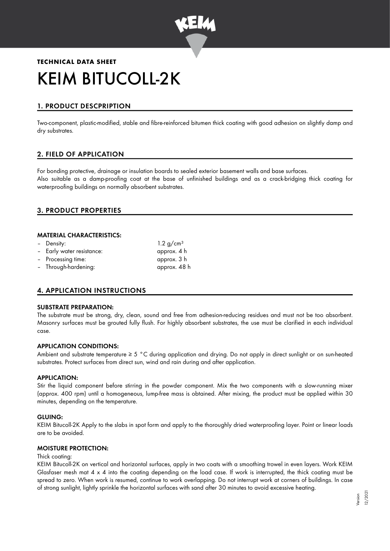

# **TECHNICAL DATA SHEET** KEIM BITUCOLL-2K

# 1. PRODUCT DESCPRIPTION

Two-component, plastic-modified, stable and fibre-reinforced bitumen thick coating with good adhesion on slightly damp and dry substrates.

# 2. FIELD OF APPLICATION

For bonding protective, drainage or insulation boards to sealed exterior basement walls and base surfaces. Also suitable as a damp-proofing coat at the base of unfinished buildings and as a crack-bridging thick coating for waterproofing buildings on normally absorbent substrates.

# 3. PRODUCT PROPERTIES

#### MATERIAL CHARACTERISTICS:

| - Density:                | 1.2 g/cm <sup>3</sup> |
|---------------------------|-----------------------|
| - Early water resistance: | approx. 4 h           |
| - Processing time:        | approx. 3 h           |
| - Through-hardening:      | approx. 48 h          |

# 4. APPLICATION INSTRUCTIONS

#### SUBSTRATE PREPARATION:

The substrate must be strong, dry, clean, sound and free from adhesion-reducing residues and must not be too absorbent. Masonry surfaces must be grouted fully flush. For highly absorbent substrates, the use must be clarified in each individual case.

#### APPLICATION CONDITIONS:

Ambient and substrate temperature  $\geq 5$  °C during application and drying. Do not apply in direct sunlight or on sun-heated substrates. Protect surfaces from direct sun, wind and rain during and after application.

#### APPLICATION:

Stir the liquid component before stirring in the powder component. Mix the two components with a slow-running mixer (approx. 400 rpm) until a homogeneous, lump-free mass is obtained. After mixing, the product must be applied within 30 minutes, depending on the temperature.

#### GLUING:

KEIM Bitucoll-2K Apply to the slabs in spot form and apply to the thoroughly dried waterproofing layer. Point or linear loads are to be avoided.

## MOISTURE PROTECTION:

#### Thick coating:

KEIM Bitucoll-2K on vertical and horizontal surfaces, apply in two coats with a smoothing trowel in even layers. Work KEIM Glasfaser mesh mat 4 x 4 into the coating depending on the load case. If work is interrupted, the thick coating must be spread to zero. When work is resumed, continue to work overlapping. Do not interrupt work at corners of buildings. In case of strong sunlight, lightly sprinkle the horizontal surfaces with sand after 30 minutes to avoid excessive heating.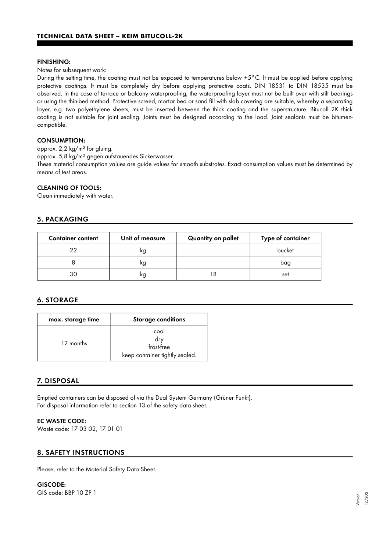#### FINISHING:

Notes for subsequent work:

During the setting time, the coating must not be exposed to temperatures below +5°C. It must be applied before applying protective coatings. It must be completely dry before applying protective coats. DIN 18531 to DIN 18535 must be observed. In the case of terrace or balcony waterproofing, the waterproofing layer must not be built over with stilt bearings or using the thin-bed method. Protective screed, mortar bed or sand fill with slab covering are suitable, whereby a separating layer, e.g. two polyethylene sheets, must be inserted between the thick coating and the superstructure. Bitucoll 2K thick coating is not suitable for joint sealing. Joints must be designed according to the load. Joint sealants must be bitumencompatible.

## CONSUMPTION:

approx. 2,2 kg/m² for gluing.

approx. 5,8 kg/m² gegen aufstauendes Sickerwasser

These material consumption values are guide values for smooth substrates. Exact consumption values must be determined by means of test areas.

#### CLEANING OF TOOLS:

Clean immediately with water.

## 5. PACKAGING

| <b>Container content</b> | Unit of measure | Quantity on pallet | Type of container |
|--------------------------|-----------------|--------------------|-------------------|
| つつ                       | κg              |                    | bucket            |
|                          | κg              |                    | bag               |
| 30                       | κg              | 8                  | set               |

# 6. STORAGE

| max. storage time | <b>Storage conditions</b>                                   |
|-------------------|-------------------------------------------------------------|
| 12 months         | cool<br>dry<br>frost-free<br>keep container tightly sealed. |

# 7. DISPOSAL

Emptied containers can be disposed of via the Dual System Germany (Grüner Punkt). For disposal information refer to section 13 of the safety data sheet.

#### EC WASTE CODE:

Waste code: 17 03 02, 17 01 01

# 8. SAFETY INSTRUCTIONS

Please, refer to the Material Safety Data Sheet.

# GISCODE:

GIS code: BBP 10 ZP 1